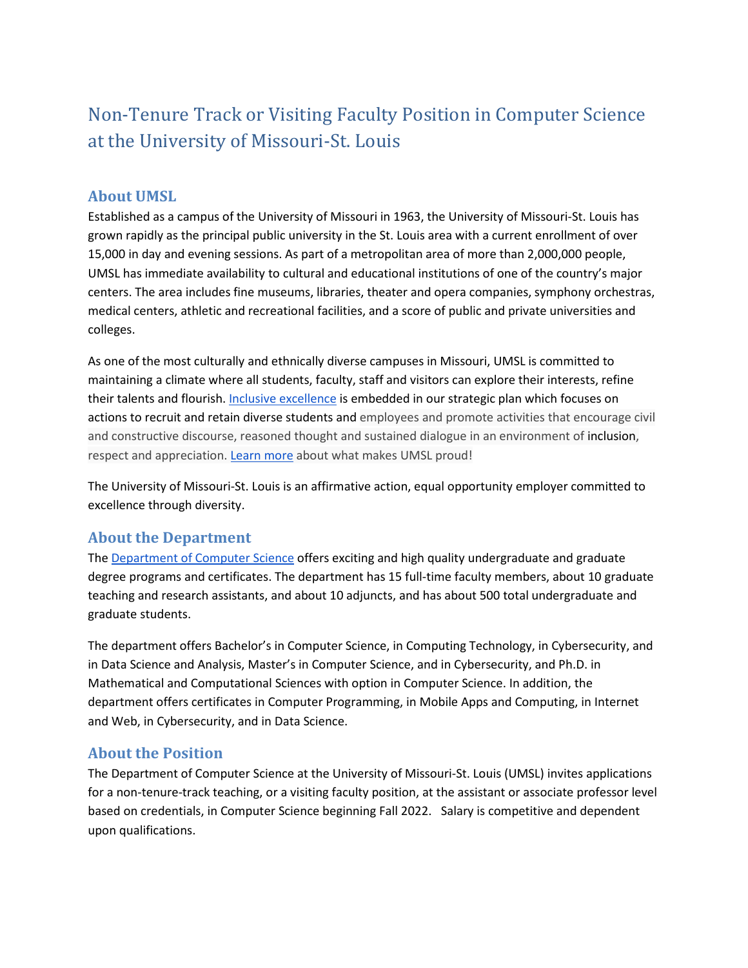# Non-Tenure Track or Visiting Faculty Position in Computer Science at the University of Missouri-St. Louis

# **About UMSL**

Established as a campus of the University of Missouri in 1963, the University of Missouri-St. Louis has grown rapidly as the principal public university in the St. Louis area with a current enrollment of over 15,000 in day and evening sessions. As part of a metropolitan area of more than 2,000,000 people, UMSL has immediate availability to cultural and educational institutions of one of the country's major centers. The area includes fine museums, libraries, theater and opera companies, symphony orchestras, medical centers, athletic and recreational facilities, and a score of public and private universities and colleges.

As one of the most culturally and ethnically diverse campuses in Missouri, UMSL is committed to maintaining a climate where all students, faculty, staff and visitors can explore their interests, refine their talents and flourish[. Inclusive excellence](https://www.umsl.edu/stratplan/inclusion.html) is embedded in our strategic plan which focuses on actions to recruit and retain diverse students and employees and promote activities that encourage civil and constructive discourse, reasoned thought and sustained dialogue in an environment of inclusion, respect and appreciation[.](https://www.umsl.edu/proud/index.html) [Learn more](https://www.umsl.edu/proud/index.html) about what makes UMSL proud!

The University of Missouri-St. Louis is an affirmative action, equal opportunity employer committed to excellence through diversity.

## **About the Department**

The [Department of Computer Science](http://umsl.edu/cs) offers exciting and high quality undergraduate and graduate degree programs and certificates. The department has 15 full-time faculty members, about 10 graduate teaching and research assistants, and about 10 adjuncts, and has about 500 total undergraduate and graduate students.

The department offers Bachelor's in Computer Science, in Computing Technology, in Cybersecurity, and in Data Science and Analysis, Master's in Computer Science, and in Cybersecurity, and Ph.D. in Mathematical and Computational Sciences with option in Computer Science. In addition, the department offers certificates in Computer Programming, in Mobile Apps and Computing, in Internet and Web, in Cybersecurity, and in Data Science.

## **About the Position**

The Department of Computer Science at the University of Missouri-St. Louis (UMSL) invites applications for a non-tenure-track teaching, or a visiting faculty position, at the assistant or associate professor level based on credentials, in Computer Science beginning Fall 2022. Salary is competitive and dependent upon qualifications.